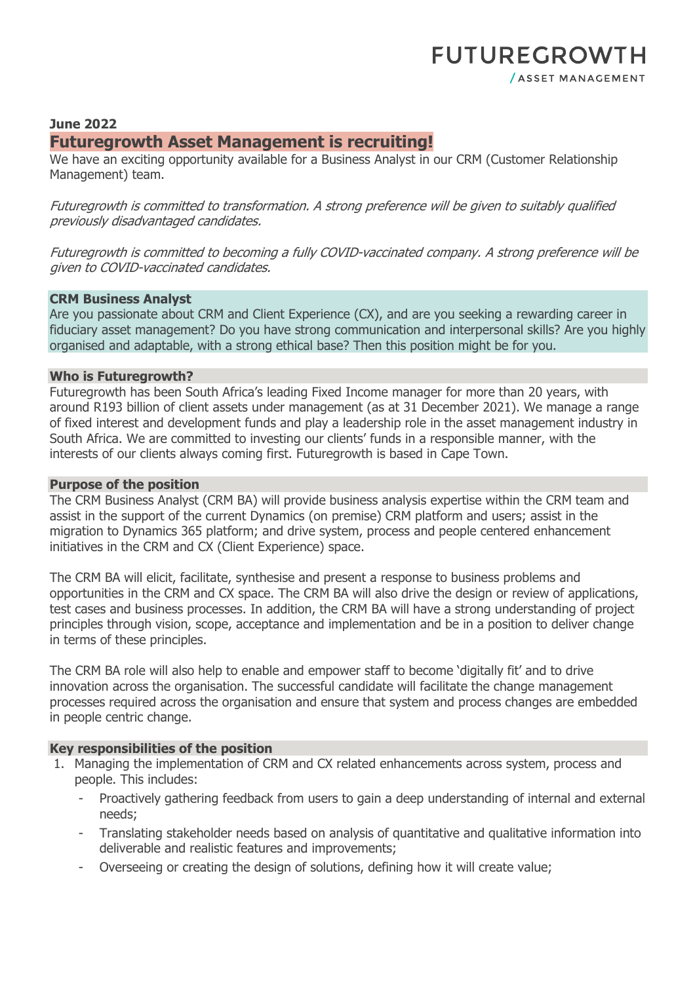# **FUTUREGROWTH** / ASSET MANAGEMENT

# **June 2022**

# **Futuregrowth Asset Management is recruiting!**

We have an exciting opportunity available for a Business Analyst in our CRM (Customer Relationship Management) team.

Futuregrowth is committed to transformation. A strong preference will be given to suitably qualified previously disadvantaged candidates.

Futuregrowth is committed to becoming a fully COVID-vaccinated company. A strong preference will be given to COVID-vaccinated candidates.

### **CRM Business Analyst**

Are you passionate about CRM and Client Experience (CX), and are you seeking a rewarding career in fiduciary asset management? Do you have strong communication and interpersonal skills? Are you highly organised and adaptable, with a strong ethical base? Then this position might be for you.

### **Who is Futuregrowth?**

Futuregrowth has been South Africa's leading Fixed Income manager for more than 20 years, with around R193 billion of client assets under management (as at 31 December 2021). We manage a range of fixed interest and development funds and play a leadership role in the asset management industry in South Africa. We are committed to investing our clients' funds in a responsible manner, with the interests of our clients always coming first. Futuregrowth is based in Cape Town.

### **Purpose of the position**

The CRM Business Analyst (CRM BA) will provide business analysis expertise within the CRM team and assist in the support of the current Dynamics (on premise) CRM platform and users; assist in the migration to Dynamics 365 platform; and drive system, process and people centered enhancement initiatives in the CRM and CX (Client Experience) space.

The CRM BA will elicit, facilitate, synthesise and present a response to business problems and opportunities in the CRM and CX space. The CRM BA will also drive the design or review of applications, test cases and business processes. In addition, the CRM BA will have a strong understanding of project principles through vision, scope, acceptance and implementation and be in a position to deliver change in terms of these principles.

The CRM BA role will also help to enable and empower staff to become 'digitally fit' and to drive innovation across the organisation. The successful candidate will facilitate the change management processes required across the organisation and ensure that system and process changes are embedded in people centric change.

### **Key responsibilities of the position**

- 1. Managing the implementation of CRM and CX related enhancements across system, process and people. This includes:
	- Proactively gathering feedback from users to gain a deep understanding of internal and external needs;
	- Translating stakeholder needs based on analysis of quantitative and qualitative information into deliverable and realistic features and improvements;
	- Overseeing or creating the design of solutions, defining how it will create value;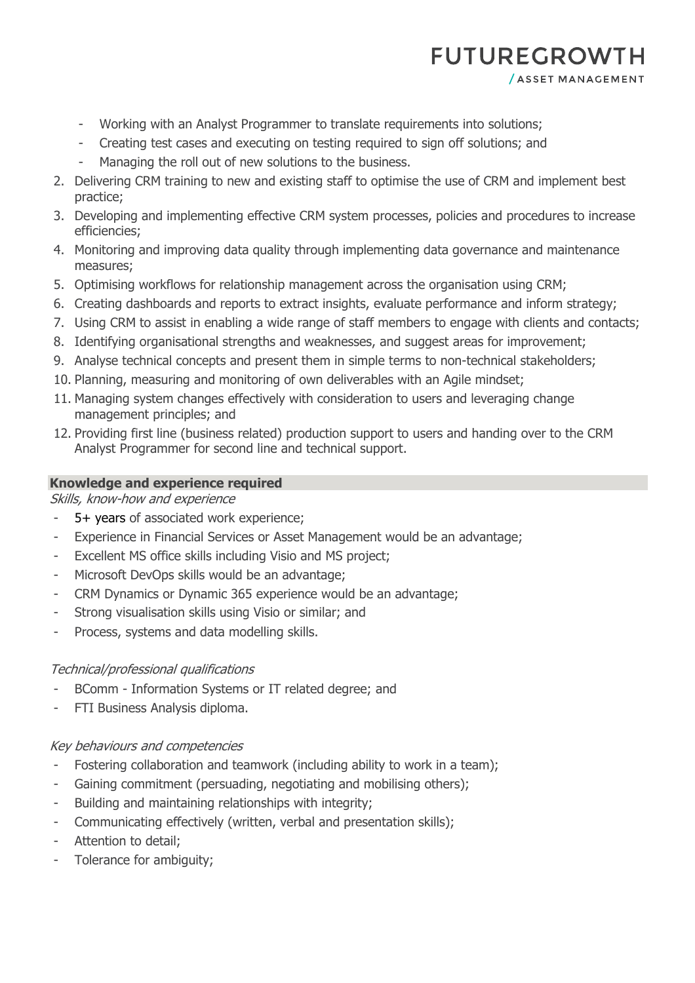# **FUTUREGROWTH**

/ ASSET MANAGEMENT

- Working with an Analyst Programmer to translate requirements into solutions;
- Creating test cases and executing on testing required to sign off solutions; and
- Managing the roll out of new solutions to the business.
- 2. Delivering CRM training to new and existing staff to optimise the use of CRM and implement best practice;
- 3. Developing and implementing effective CRM system processes, policies and procedures to increase efficiencies;
- 4. Monitoring and improving data quality through implementing data governance and maintenance measures;
- 5. Optimising workflows for relationship management across the organisation using CRM;
- 6. Creating dashboards and reports to extract insights, evaluate performance and inform strategy;
- 7. Using CRM to assist in enabling a wide range of staff members to engage with clients and contacts;
- 8. Identifying organisational strengths and weaknesses, and suggest areas for improvement;
- 9. Analyse technical concepts and present them in simple terms to non-technical stakeholders;
- 10. Planning, measuring and monitoring of own deliverables with an Agile mindset;
- 11. Managing system changes effectively with consideration to users and leveraging change management principles; and
- 12. Providing first line (business related) production support to users and handing over to the CRM Analyst Programmer for second line and technical support.

## **Knowledge and experience required**

Skills, know-how and experience

- 5+ years of associated work experience;
- Experience in Financial Services or Asset Management would be an advantage;
- Excellent MS office skills including Visio and MS project;
- Microsoft DevOps skills would be an advantage;
- CRM Dynamics or Dynamic 365 experience would be an advantage;
- Strong visualisation skills using Visio or similar; and
- Process, systems and data modelling skills.

# Technical/professional qualifications

- BComm Information Systems or IT related degree; and
- FTI Business Analysis diploma.

# Key behaviours and competencies

- Fostering collaboration and teamwork (including ability to work in a team);
- Gaining commitment (persuading, negotiating and mobilising others);
- Building and maintaining relationships with integrity;
- Communicating effectively (written, verbal and presentation skills);
- Attention to detail;
- Tolerance for ambiguity;